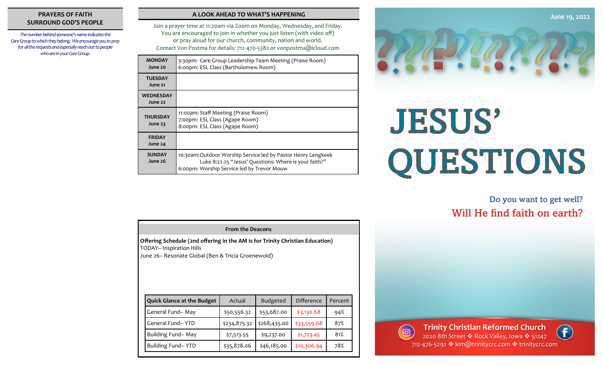# **PRAYERS OF FAITH SURROUND GOD'S PEOPLE**

*The number behind someone's name indicates the Care Group to which they belong. We encourage you to pray for all the requests and especially reach out to people who are in your Care Group.* 

### **A LOOK AHEAD TO WHAT'S HAPPENING**

Join a prayer time at 11:20am via Zoom on Monday, Wednesday, and Friday. You are encouraged to join in whether you just listen (with video off) or pray aloud for our church, community, nation and world. Contact Von Postma for details: 712-470-5382 or vonpostma@icloud.com

| <b>MONDAY</b><br>June 20    | 3:30pm: Care Group Leadership Team Meeting (Praise Room)<br>6:00pm: ESL Class (Bartholomew Room)                                                                    |  |  |
|-----------------------------|---------------------------------------------------------------------------------------------------------------------------------------------------------------------|--|--|
| <b>TUESDAY</b><br>June 21   |                                                                                                                                                                     |  |  |
| <b>WEDNESDAY</b><br>June 22 |                                                                                                                                                                     |  |  |
| <b>THURSDAY</b><br>June 23  | 11:00am: Staff Meeting (Praise Room)<br>7:00pm: ESL Class (Agape Room)<br>8:00pm: ESL Class (Agape Room)                                                            |  |  |
| <b>FRIDAY</b><br>June 24    |                                                                                                                                                                     |  |  |
| <b>SUNDAY</b><br>June 26    | 10:30am:Outdoor Worship Service led by Pastor Henry Lengkeek<br>Luke 8:22-25 "Jesus' Questions: Where is your faith?"<br>6:00pm: Worship Service led by Trevor Mouw |  |  |



# **JESUS'** QUESTIONS

# Do you want to get well? Will He find faith on earth?

| Offering Schedule (2nd offering in the AM is for Trinity Christian Education)<br><b>TODAY-Inspiration Hills</b><br>June 26– Resonate Global (Ben & Tricia Groenewold) |                                   |              |                 |             |         |  |  |  |
|-----------------------------------------------------------------------------------------------------------------------------------------------------------------------|-----------------------------------|--------------|-----------------|-------------|---------|--|--|--|
|                                                                                                                                                                       | <b>Quick Glance at the Budget</b> | Actual       | <b>Budgeted</b> | Difference  | Percent |  |  |  |
|                                                                                                                                                                       | General Fund-May                  | \$50,556.32  | \$53,687.00     | \$3,130.68  | 94%     |  |  |  |
|                                                                                                                                                                       | General Fund-YTD                  | \$234,875.32 | \$268,435.00    | \$33,559.68 | 87%     |  |  |  |
|                                                                                                                                                                       | Building Fund-May                 | \$7,513.55   | \$9,237.00      | \$1,723.45  | 81%     |  |  |  |
|                                                                                                                                                                       | Building Fund-YTD                 | \$35,878.06  | \$46,185.00     | \$10,306.94 | 78%     |  |  |  |

**From the Deacons**



 $\left( \ \ \, \Theta\right)$